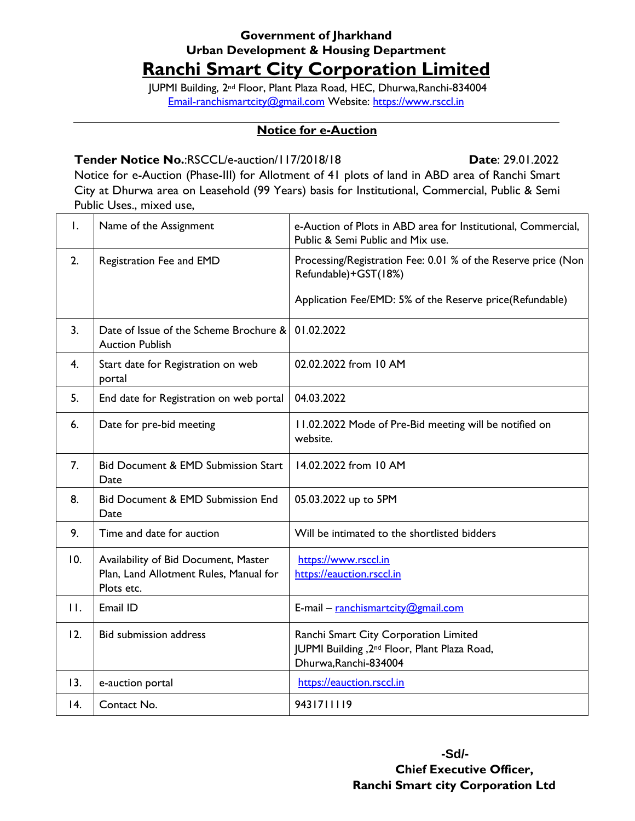## **Government of Jharkhand Urban Development & Housing Department Ranchi Smart City Corporation Limited**

JUPMI Building, 2nd Floor, Plant Plaza Road, HEC, Dhurwa,Ranchi-834004 [Email-ranchismartcity@gmail.com](mailto:Email-ranchismartcity@gmail.com) Website: [https://www.rsccl.in](https://www.rsccl.in/)

## **Notice for e-Auction**

## **Tender Notice No.**:RSCCL/e-auction/117/2018/18 **Date**: 29.01.2022

Notice for e-Auction (Phase-III) for Allotment of 41 plots of land in ABD area of Ranchi Smart City at Dhurwa area on Leasehold (99 Years) basis for Institutional, Commercial, Public & Semi Public Uses., mixed use,

| Ι.                | Name of the Assignment                                                                       | e-Auction of Plots in ABD area for Institutional, Commercial,<br>Public & Semi Public and Mix use.                         |
|-------------------|----------------------------------------------------------------------------------------------|----------------------------------------------------------------------------------------------------------------------------|
| 2.                | Registration Fee and EMD                                                                     | Processing/Registration Fee: 0.01 % of the Reserve price (Non<br>Refundable)+GST(18%)                                      |
|                   |                                                                                              | Application Fee/EMD: 5% of the Reserve price(Refundable)                                                                   |
| 3.                | Date of Issue of the Scheme Brochure &<br><b>Auction Publish</b>                             | 01.02.2022                                                                                                                 |
| 4.                | Start date for Registration on web<br>portal                                                 | 02.02.2022 from 10 AM                                                                                                      |
| 5.                | End date for Registration on web portal                                                      | 04.03.2022                                                                                                                 |
| 6.                | Date for pre-bid meeting                                                                     | 11.02.2022 Mode of Pre-Bid meeting will be notified on<br>website.                                                         |
| 7.                | <b>Bid Document &amp; EMD Submission Start</b><br>Date                                       | 14.02.2022 from 10 AM                                                                                                      |
| 8.                | <b>Bid Document &amp; EMD Submission End</b><br>Date                                         | 05.03.2022 up to 5PM                                                                                                       |
| 9.                | Time and date for auction                                                                    | Will be intimated to the shortlisted bidders                                                                               |
| 10.               | Availability of Bid Document, Master<br>Plan, Land Allotment Rules, Manual for<br>Plots etc. | https://www.rsccl.in<br>https://eauction.rsccl.in                                                                          |
| $\mathbf{H}$ .    | Email ID                                                                                     | E-mail - ranchismartcity@gmail.com                                                                                         |
| 12.               | <b>Bid submission address</b>                                                                | Ranchi Smart City Corporation Limited<br>JUPMI Building, 2 <sup>nd</sup> Floor, Plant Plaza Road,<br>Dhurwa, Ranchi-834004 |
| 13.               | e-auction portal                                                                             | https://eauction.rsccl.in                                                                                                  |
| $\overline{14}$ . | Contact No.                                                                                  | 9431711119                                                                                                                 |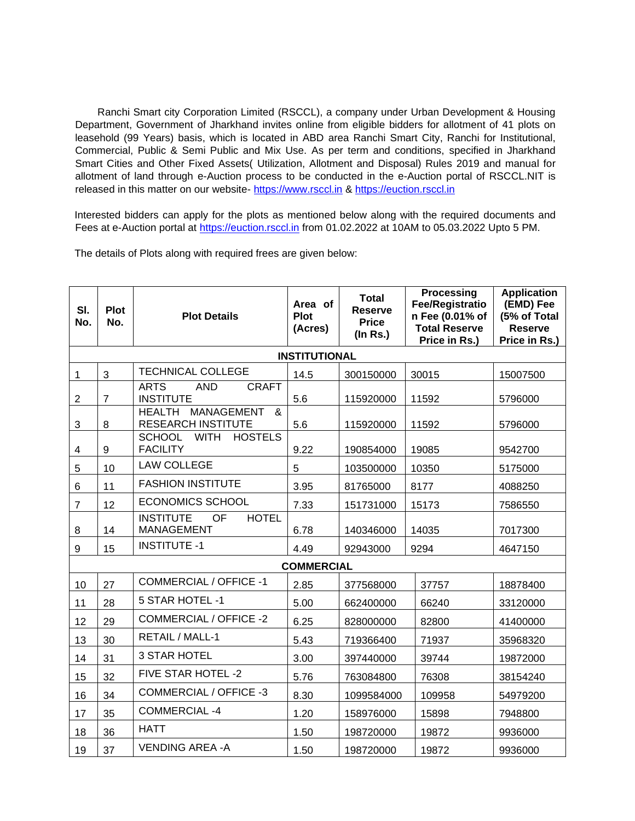Ranchi Smart city Corporation Limited (RSCCL), a company under Urban Development & Housing Department, Government of Jharkhand invites online from eligible bidders for allotment of 41 plots on leasehold (99 Years) basis, which is located in ABD area Ranchi Smart City, Ranchi for Institutional, Commercial, Public & Semi Public and Mix Use. As per term and conditions, specified in Jharkhand Smart Cities and Other Fixed Assets( Utilization, Allotment and Disposal) Rules 2019 and manual for allotment of land through e-Auction process to be conducted in the e-Auction portal of RSCCL.NIT is released in this matter on our website- [https://www.rsccl.in](https://www.rsccl.in/) & [https://euction.rsccl.in](https://euction.rsccl.in/)

Interested bidders can apply for the plots as mentioned below along with the required documents and Fees at e-Auction portal at [https://euction.rsccl.in](https://euction.rsccl.in/) from 01.02.2022 at 10AM to 05.03.2022 Upto 5 PM.

The details of Plots along with required frees are given below:

| SI.<br>No.           | <b>Plot</b><br>No. | <b>Plot Details</b>                                                  | Area of<br><b>Plot</b><br>(Acres) | <b>Total</b><br><b>Reserve</b><br><b>Price</b><br>$($ In Rs. $)$ | <b>Processing</b><br><b>Fee/Registratio</b><br>n Fee (0.01% of<br><b>Total Reserve</b><br>Price in Rs.) | <b>Application</b><br>(EMD) Fee<br>(5% of Total<br><b>Reserve</b><br>Price in Rs.) |  |  |  |  |
|----------------------|--------------------|----------------------------------------------------------------------|-----------------------------------|------------------------------------------------------------------|---------------------------------------------------------------------------------------------------------|------------------------------------------------------------------------------------|--|--|--|--|
| <b>INSTITUTIONAL</b> |                    |                                                                      |                                   |                                                                  |                                                                                                         |                                                                                    |  |  |  |  |
| 1                    | 3                  | <b>TECHNICAL COLLEGE</b>                                             | 14.5                              | 300150000                                                        | 30015                                                                                                   | 15007500                                                                           |  |  |  |  |
| $\boldsymbol{2}$     | $\overline{7}$     | <b>ARTS</b><br><b>AND</b><br><b>CRAFT</b><br><b>INSTITUTE</b>        | 5.6                               | 115920000                                                        | 11592                                                                                                   | 5796000                                                                            |  |  |  |  |
| 3                    | 8                  | <b>MANAGEMENT</b><br><b>HEALTH</b><br>&<br><b>RESEARCH INSTITUTE</b> | 5.6                               | 115920000                                                        | 11592                                                                                                   | 5796000                                                                            |  |  |  |  |
| 4                    | 9                  | <b>SCHOOL</b><br><b>WITH</b><br><b>HOSTELS</b><br><b>FACILITY</b>    | 9.22                              | 190854000                                                        | 19085                                                                                                   | 9542700                                                                            |  |  |  |  |
| 5                    | 10                 | <b>LAW COLLEGE</b>                                                   | 5                                 | 103500000                                                        | 10350                                                                                                   | 5175000                                                                            |  |  |  |  |
| $6\phantom{1}6$      | 11                 | <b>FASHION INSTITUTE</b>                                             | 3.95                              | 81765000                                                         | 8177                                                                                                    | 4088250                                                                            |  |  |  |  |
| $\overline{7}$       | 12                 | <b>ECONOMICS SCHOOL</b>                                              | 7.33                              | 151731000                                                        | 15173                                                                                                   | 7586550                                                                            |  |  |  |  |
| 8                    | 14                 | <b>INSTITUTE</b><br><b>HOTEL</b><br><b>OF</b><br><b>MANAGEMENT</b>   | 6.78                              | 140346000                                                        | 14035                                                                                                   | 7017300                                                                            |  |  |  |  |
| 9                    | 15                 | <b>INSTITUTE -1</b>                                                  | 4.49                              | 92943000                                                         | 9294                                                                                                    | 4647150                                                                            |  |  |  |  |
| <b>COMMERCIAL</b>    |                    |                                                                      |                                   |                                                                  |                                                                                                         |                                                                                    |  |  |  |  |
| 10                   | 27                 | <b>COMMERCIAL / OFFICE -1</b>                                        | 2.85                              | 377568000                                                        | 37757                                                                                                   | 18878400                                                                           |  |  |  |  |
| 11                   | 28                 | 5 STAR HOTEL -1                                                      | 5.00                              | 662400000                                                        | 66240                                                                                                   | 33120000                                                                           |  |  |  |  |
| 12                   | 29                 | <b>COMMERCIAL / OFFICE -2</b>                                        | 6.25                              | 828000000                                                        | 82800                                                                                                   | 41400000                                                                           |  |  |  |  |
| 13                   | 30                 | RETAIL / MALL-1                                                      | 5.43                              | 719366400                                                        | 71937                                                                                                   | 35968320                                                                           |  |  |  |  |
| 14                   | 31                 | <b>3 STAR HOTEL</b>                                                  | 3.00                              | 397440000                                                        | 39744                                                                                                   | 19872000                                                                           |  |  |  |  |
| 15                   | 32                 | FIVE STAR HOTEL -2                                                   | 5.76                              | 763084800                                                        | 76308                                                                                                   | 38154240                                                                           |  |  |  |  |
| 16                   | 34                 | <b>COMMERCIAL / OFFICE -3</b>                                        | 8.30                              | 1099584000                                                       | 109958                                                                                                  | 54979200                                                                           |  |  |  |  |
| 17                   | 35                 | <b>COMMERCIAL-4</b>                                                  | 1.20                              | 158976000                                                        | 15898                                                                                                   | 7948800                                                                            |  |  |  |  |
| 18                   | 36                 | <b>HATT</b>                                                          | 1.50                              | 198720000                                                        | 19872                                                                                                   | 9936000                                                                            |  |  |  |  |
| 19                   | 37                 | <b>VENDING AREA - A</b>                                              | 1.50                              | 198720000                                                        | 19872                                                                                                   | 9936000                                                                            |  |  |  |  |